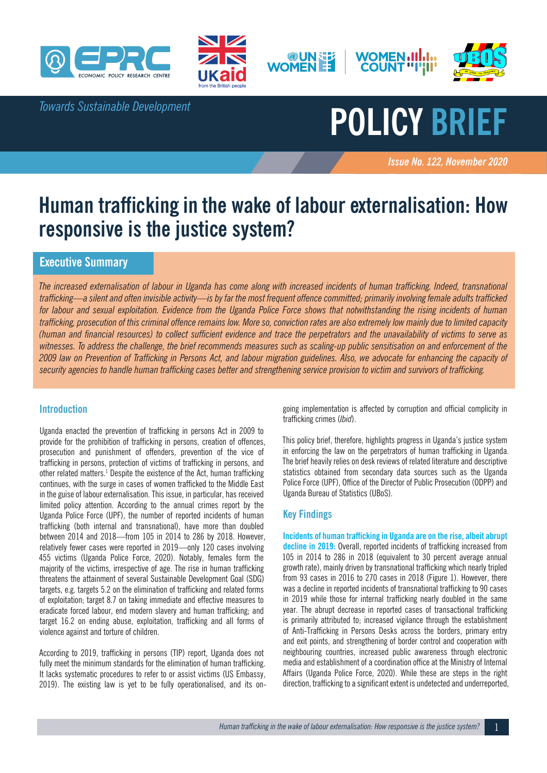

*Towards Sustainable Development*







# **POLICY BRIEF**

*Issue No. 122, November 2020 November 2012*

# **Human trafficking in the wake of labour externalisation: How responsive is the justice system?**

# **Executive Summary**

*The increased externalisation of labour in Uganda has come along with increased incidents of human trafficking. Indeed, transnational trafficking—a silent and often invisible activity—is by far the most frequent offence committed; primarily involving female adults trafficked for labour and sexual exploitation. Evidence from the Uganda Police Force shows that notwithstanding the rising incidents of human trafficking, prosecution of this criminal offence remains low. More so, conviction rates are also extremely low mainly due to limited capacity (human and financial resources) to collect sufficient evidence and trace the perpetrators and the unavailability of victims to serve as witnesses. To address the challenge, the brief recommends measures such as scaling-up public sensitisation on and enforcement of the 2009 law on Prevention of Trafficking in Persons Act, and labour migration guidelines. Also, we advocate for enhancing the capacity of security agencies to handle human trafficking cases better and strengthening service provision to victim and survivors of trafficking.*

# **Introduction**

Uganda enacted the prevention of trafficking in persons Act in 2009 to provide for the prohibition of trafficking in persons, creation of offences, prosecution and punishment of offenders, prevention of the vice of trafficking in persons, protection of victims of trafficking in persons, and other related matters.<sup>1</sup> Despite the existence of the Act, human trafficking continues, with the surge in cases of women trafficked to the Middle East in the guise of labour externalisation. This issue, in particular, has received limited policy attention. According to the annual crimes report by the Uganda Police Force (UPF), the number of reported incidents of human trafficking (both internal and transnational), have more than doubled between 2014 and 2018—from 105 in 2014 to 286 by 2018. However, relatively fewer cases were reported in 2019—only 120 cases involving 455 victims (Uganda Police Force, 2020). Notably, females form the majority of the victims, irrespective of age. The rise in human trafficking threatens the attainment of several Sustainable Development Goal (SDG) targets, e.g. targets 5.2 on the elimination of trafficking and related forms of exploitation; target 8.7 on taking immediate and effective measures to eradicate forced labour, end modern slavery and human trafficking; and target 16.2 on ending abuse, exploitation, trafficking and all forms of violence against and torture of children.

According to 2019, trafficking in persons (TIP) report, Uganda does not fully meet the minimum standards for the elimination of human trafficking. It lacks systematic procedures to refer to or assist victims (US Embassy, 2019). The existing law is yet to be fully operationalised, and its ongoing implementation is affected by corruption and official complicity in trafficking crimes (*Ibid*).

This policy brief, therefore, highlights progress in Uganda's justice system in enforcing the law on the perpetrators of human trafficking in Uganda. The brief heavily relies on desk reviews of related literature and descriptive statistics obtained from secondary data sources such as the Uganda Police Force (UPF), Office of the Director of Public Prosecution (ODPP) and Uganda Bureau of Statistics (UBoS).

# **Key Findings**

**Incidents of human trafficking in Uganda are on the rise, albeit abrupt decline in 2019:** Overall, reported incidents of trafficking increased from 105 in 2014 to 286 in 2018 (equivalent to 30 percent average annual growth rate), mainly driven by transnational trafficking which nearly tripled from 93 cases in 2016 to 270 cases in 2018 (Figure 1). However, there was a decline in reported incidents of transnational trafficking to 90 cases in 2019 while those for internal trafficking nearly doubled in the same year. The abrupt decrease in reported cases of transactional trafficking is primarily attributed to; increased vigilance through the establishment of Anti-Trafficking in Persons Desks across the borders, primary entry and exit points, and strengthening of border control and cooperation with neighbouring countries, increased public awareness through electronic media and establishment of a coordination office at the Ministry of Internal Affairs (Uganda Police Force, 2020). While these are steps in the right direction, trafficking to a significant extent is undetected and underreported,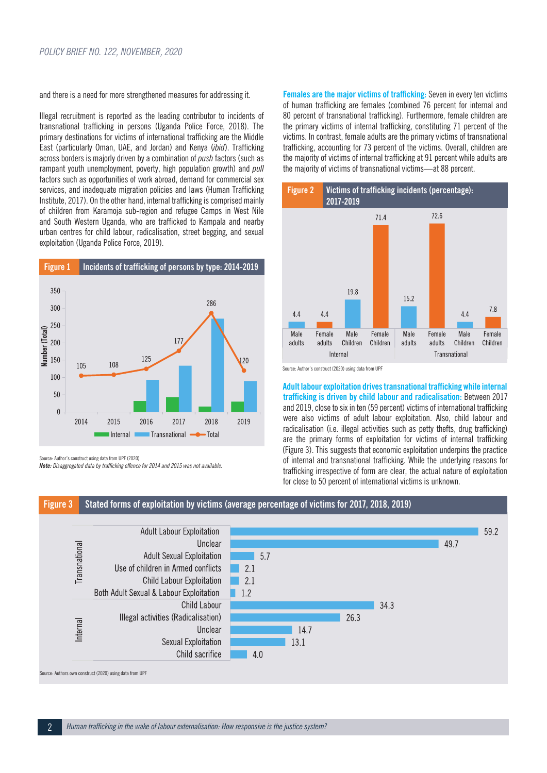and there is a need for more strengthened measures for addressing it.

Illegal recruitment is reported as the leading contributor to incidents of transnational trafficking in persons (Uganda Police Force, 2018). The primary destinations for victims of international trafficking are the Middle East (particularly Oman, UAE, and Jordan) and Kenya (*ibid*). Trafficking across borders is majorly driven by a combination of *push* factors (such as rampant youth unemployment, poverty, high population growth) and *pull* factors such as opportunities of work abroad, demand for commercial sex services, and inadequate migration policies and laws (Human Trafficking Institute, 2017). On the other hand, internal trafficking is comprised mainly of children from Karamoja sub-region and refugee Camps in West Nile and South Western Uganda, who are trafficked to Kampala and nearby urban centres for child labour, radicalisation, street begging, and sexual exploitation (Uganda Police Force, 2019).



Source: Author's construct using data from UPF (2020)

*Note: Disaggregated data by trafficking offence for 2014 and 2015 was not available.*

**Females are the major victims of trafficking:** Seven in every ten victims of human trafficking are females (combined 76 percent for internal and 80 percent of transnational trafficking). Furthermore, female children are the primary victims of internal trafficking, constituting 71 percent of the victims. In contrast, female adults are the primary victims of transnational trafficking, accounting for 73 percent of the victims. Overall, children are the majority of victims of internal trafficking at 91 percent while adults are the majority of victims of transnational victims—at 88 percent.





**Adult labour exploitation drives transnational trafficking while internal trafficking is driven by child labour and radicalisation:** Between 2017 and 2019, close to six in ten (59 percent) victims of international trafficking were also victims of adult labour exploitation. Also, child labour and radicalisation (i.e. illegal activities such as petty thefts, drug trafficking) are the primary forms of exploitation for victims of internal trafficking (Figure 3). This suggests that economic exploitation underpins the practice of internal and transnational trafficking. While the underlying reasons for trafficking irrespective of form are clear, the actual nature of exploitation for close to 50 percent of international victims is unknown.

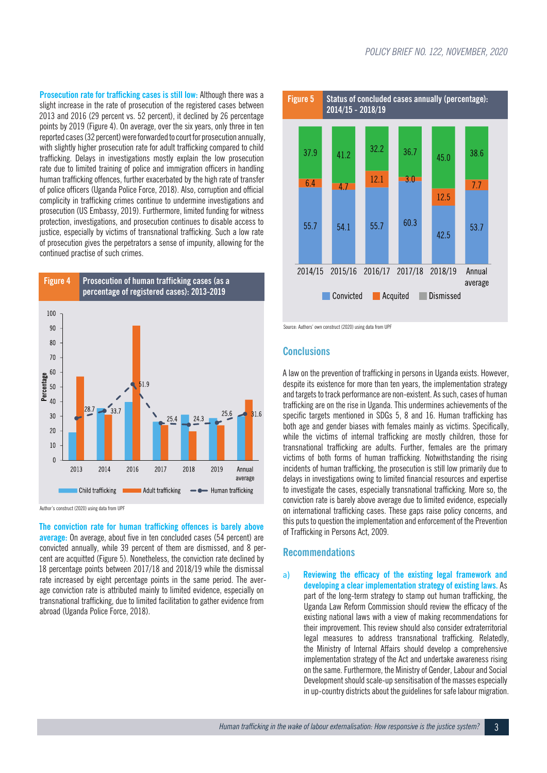**Prosecution rate for trafficking cases is still low:** Although there was a slight increase in the rate of prosecution of the registered cases between 2013 and 2016 (29 percent vs. 52 percent), it declined by 26 percentage points by 2019 (Figure 4). On average, over the six years, only three in ten reported cases (32 percent) were forwarded to court for prosecution annually, with slightly higher prosecution rate for adult trafficking compared to child trafficking. Delays in investigations mostly explain the low prosecution rate due to limited training of police and immigration officers in handling human trafficking offences, further exacerbated by the high rate of transfer of police officers (Uganda Police Force, 2018). Also, corruption and official complicity in trafficking crimes continue to undermine investigations and prosecution (US Embassy, 2019). Furthermore, limited funding for witness protection, investigations, and prosecution continues to disable access to justice, especially by victims of transnational trafficking. Such a low rate of prosecution gives the perpetrators a sense of impunity, allowing for the continued practise of such crimes.



Author's construct (2020) using data from UPF

**The conviction rate for human trafficking offences is barely above average:** On average, about five in ten concluded cases (54 percent) are convicted annually, while 39 percent of them are dismissed, and 8 percent are acquitted (Figure 5). Nonetheless, the conviction rate declined by 18 percentage points between 2017/18 and 2018/19 while the dismissal rate increased by eight percentage points in the same period. The average conviction rate is attributed mainly to limited evidence, especially on transnational trafficking, due to limited facilitation to gather evidence from abroad (Uganda Police Force, 2018).



Source: Authors' own construct (2020) using data from UPF

#### **Conclusions**

A law on the prevention of trafficking in persons in Uganda exists. However, despite its existence for more than ten years, the implementation strategy and targets to track performance are non-existent. As such, cases of human trafficking are on the rise in Uganda. This undermines achievements of the specific targets mentioned in SDGs 5, 8 and 16. Human trafficking has both age and gender biases with females mainly as victims. Specifically, while the victims of internal trafficking are mostly children, those for transnational trafficking are adults. Further, females are the primary victims of both forms of human trafficking. Notwithstanding the rising incidents of human trafficking, the prosecution is still low primarily due to delays in investigations owing to limited financial resources and expertise to investigate the cases, especially transnational trafficking. More so, the conviction rate is barely above average due to limited evidence, especially on international trafficking cases. These gaps raise policy concerns, and this puts to question the implementation and enforcement of the Prevention of Trafficking in Persons Act, 2009.

#### **Recommendations**

a) **Reviewing the efficacy of the existing legal framework and developing a clear implementation strategy of existing laws.** As part of the long-term strategy to stamp out human trafficking, the Uganda Law Reform Commission should review the efficacy of the existing national laws with a view of making recommendations for their improvement. This review should also consider extraterritorial legal measures to address transnational trafficking. Relatedly, the Ministry of Internal Affairs should develop a comprehensive implementation strategy of the Act and undertake awareness rising on the same. Furthermore, the Ministry of Gender, Labour and Social Development should scale-up sensitisation of the masses especially in up-country districts about the guidelines for safe labour migration.